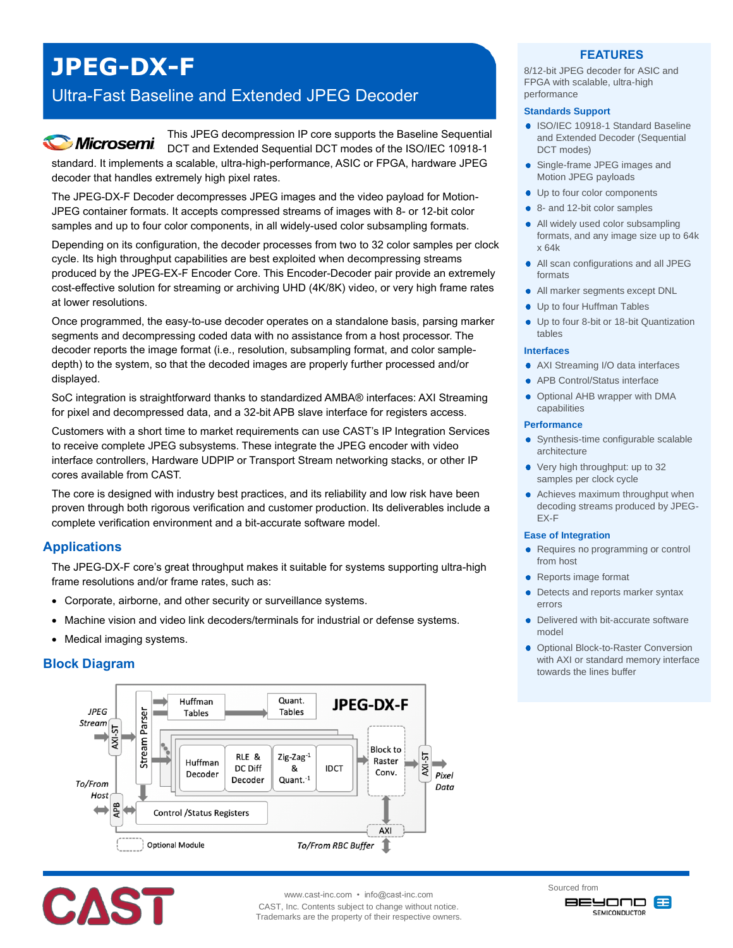# **JPEG-DX-F**

## Ultra-Fast Baseline and Extended JPEG Decoder

This JPEG decompression IP core supports the Baseline Sequential **Microsemi** DCT and Extended Sequential DCT modes of the ISO/IEC 10918-1 standard. It implements a scalable, ultra-high-performance, ASIC or FPGA, hardware JPEG decoder that handles extremely high pixel rates.

The JPEG-DX-F Decoder decompresses JPEG images and the video payload for Motion-JPEG container formats. It accepts compressed streams of images with 8- or 12-bit color samples and up to four color components, in all widely-used color subsampling formats.

Depending on its configuration, the decoder processes from two to 32 color samples per clock cycle. Its high throughput capabilities are best exploited when decompressing streams produced by the JPEG-EX-F Encoder Core. This Encoder-Decoder pair provide an extremely cost-effective solution for streaming or archiving UHD (4K/8K) video, or very high frame rates at lower resolutions.

Once programmed, the easy-to-use decoder operates on a standalone basis, parsing marker segments and decompressing coded data with no assistance from a host processor. The decoder reports the image format (i.e., resolution, subsampling format, and color sampledepth) to the system, so that the decoded images are properly further processed and/or displayed.

SoC integration is straightforward thanks to standardized AMBA® interfaces: AXI Streaming for pixel and decompressed data, and a 32-bit APB slave interface for registers access.

Customers with a short time to market requirements can use CAST's IP Integration Services to receive complete JPEG subsystems. These integrate the JPEG encoder with video interface controllers, Hardware UDPIP or Transport Stream networking stacks, or other IP cores available from CAST.

The core is designed with industry best practices, and its reliability and low risk have been proven through both rigorous verification and customer production. Its deliverables include a complete verification environment and a bit-accurate software model.

## **Applications**

The JPEG-DX-F core's great throughput makes it suitable for systems supporting ultra-high frame resolutions and/or frame rates, such as:

- Corporate, airborne, and other security or surveillance systems.
- Machine vision and video link decoders/terminals for industrial or defense systems.
- Medical imaging systems.

## **Block Diagram**





www.cast-inc.com • info@cast-inc.com

CAST, Inc. Contents subject to change without notice. Trademarks are the property of their respective owners.

## **FEATURES**

8/12-bit JPEG decoder for ASIC and FPGA with scalable, ultra-high performance

#### **Standards Support**

- **ISO/IEC 10918-1 Standard Baseline** and Extended Decoder (Sequential DCT modes)
- Single-frame JPEG images and Motion JPEG payloads
- Up to four color components
- 8- and 12-bit color samples
- All widely used color subsampling formats, and any image size up to 64k x 64k
- All scan configurations and all JPEG formats
- All marker segments except DNL
- Up to four Huffman Tables
- Up to four 8-bit or 18-bit Quantization tables

#### **Interfaces**

- AXI Streaming I/O data interfaces
- APB Control/Status interface
- Optional AHB wrapper with DMA capabilities

#### **Performance**

- Synthesis-time configurable scalable architecture
- Very high throughput: up to 32 samples per clock cycle
- Achieves maximum throughput when decoding streams produced by JPEG-EX-F

#### **Ease of Integration**

- Requires no programming or control from host
- Reports image format
- Detects and reports marker syntax errors
- Delivered with bit-accurate software model
- **Optional Block-to-Raster Conversion** with AXI or standard memory interface towards the lines buffer